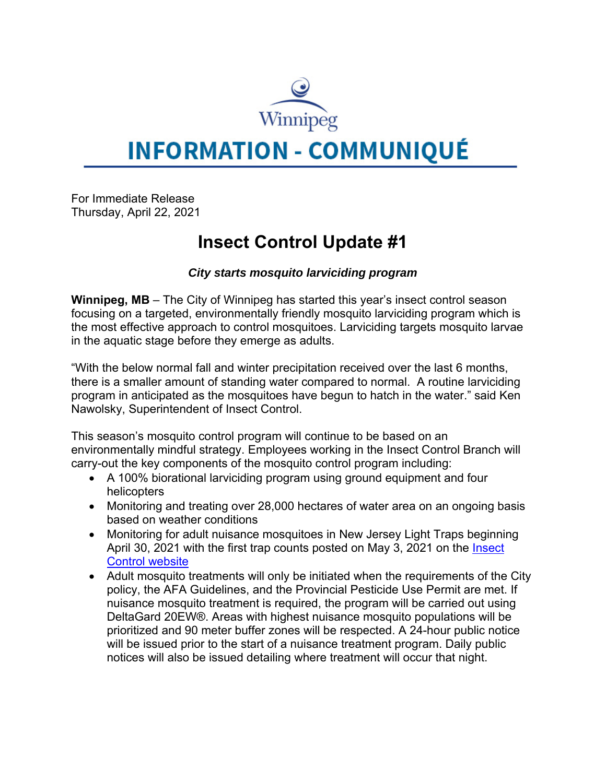

# **INFORMATION - COMMUNIQUÉ**

For Immediate Release Thursday, April 22, 2021

# **Insect Control Update #1**

# *City starts mosquito larviciding program*

**Winnipeg, MB** – The City of Winnipeg has started this year's insect control season focusing on a targeted, environmentally friendly mosquito larviciding program which is the most effective approach to control mosquitoes. Larviciding targets mosquito larvae in the aquatic stage before they emerge as adults.

"With the below normal fall and winter precipitation received over the last 6 months, there is a smaller amount of standing water compared to normal. A routine larviciding program in anticipated as the mosquitoes have begun to hatch in the water." said Ken Nawolsky, Superintendent of Insect Control.

This season's mosquito control program will continue to be based on an environmentally mindful strategy. Employees working in the Insect Control Branch will carry-out the key components of the mosquito control program including:

- A 100% biorational larviciding program using ground equipment and four helicopters
- Monitoring and treating over 28,000 hectares of water area on an ongoing basis based on weather conditions
- Monitoring for adult nuisance mosquitoes in New Jersey Light Traps beginning April 30, 2021 with the first trap counts posted on May 3, 2021 on the Insect Control website
- Adult mosquito treatments will only be initiated when the requirements of the City policy, the AFA Guidelines, and the Provincial Pesticide Use Permit are met. If nuisance mosquito treatment is required, the program will be carried out using DeltaGard 20EW®. Areas with highest nuisance mosquito populations will be prioritized and 90 meter buffer zones will be respected. A 24-hour public notice will be issued prior to the start of a nuisance treatment program. Daily public notices will also be issued detailing where treatment will occur that night.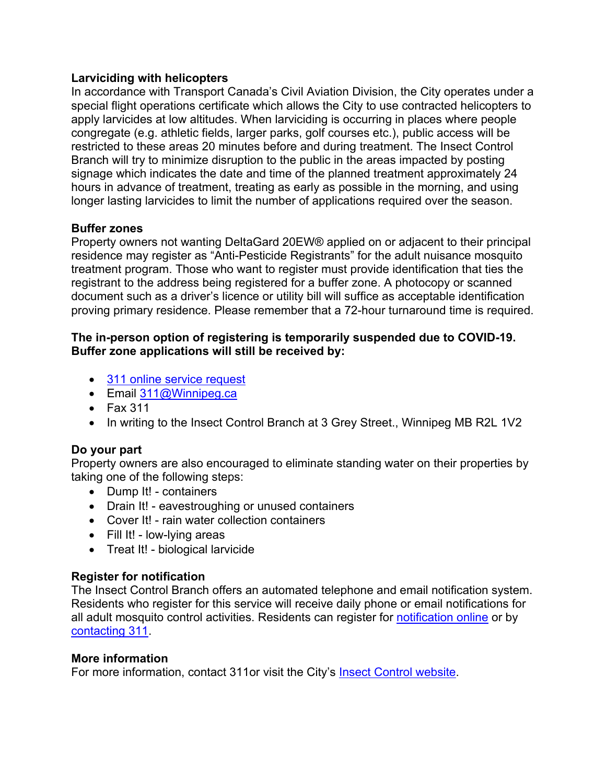### **Larviciding with helicopters**

In accordance with Transport Canada's Civil Aviation Division, the City operates under a special flight operations certificate which allows the City to use contracted helicopters to apply larvicides at low altitudes. When larviciding is occurring in places where people congregate (e.g. athletic fields, larger parks, golf courses etc.), public access will be restricted to these areas 20 minutes before and during treatment. The Insect Control Branch will try to minimize disruption to the public in the areas impacted by posting signage which indicates the date and time of the planned treatment approximately 24 hours in advance of treatment, treating as early as possible in the morning, and using longer lasting larvicides to limit the number of applications required over the season.

# **Buffer zones**

Property owners not wanting DeltaGard 20EW® applied on or adjacent to their principal residence may register as "Anti-Pesticide Registrants" for the adult nuisance mosquito treatment program. Those who want to register must provide identification that ties the registrant to the address being registered for a buffer zone. A photocopy or scanned document such as a driver's licence or utility bill will suffice as acceptable identification proving primary residence. Please remember that a 72-hour turnaround time is required.

#### **The in-person option of registering is temporarily suspended due to COVID-19. Buffer zone applications will still be received by:**

- 311 online service request
- $\bullet$  Email 311@Winnipeg.ca
- $\bullet$  Fax 311
- In writing to the Insect Control Branch at 3 Grey Street., Winnipeg MB R2L 1V2

#### **Do your part**

Property owners are also encouraged to eliminate standing water on their properties by taking one of the following steps:

- Dump It! containers
- Drain It! eavestroughing or unused containers
- Cover It! rain water collection containers
- Fill It! low-lying areas
- Treat It! biological larvicide

# **Register for notification**

The Insect Control Branch offers an automated telephone and email notification system. Residents who register for this service will receive daily phone or email notifications for all adult mosquito control activities. Residents can register for notification online or by contacting 311.

#### **More information**

For more information, contact 311or visit the City's Insect Control website.